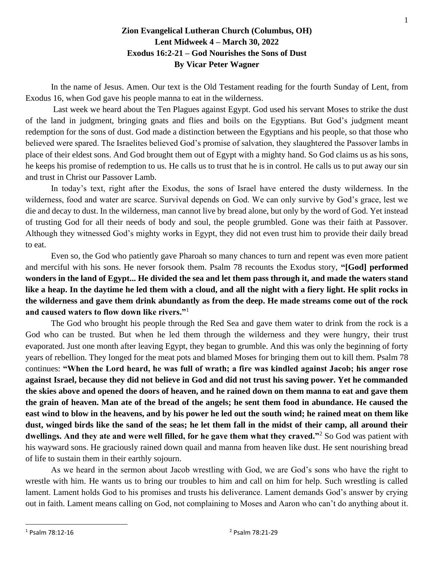## **Zion Evangelical Lutheran Church (Columbus, OH) Lent Midweek 4 – March 30, 2022 Exodus 16:2-21 – God Nourishes the Sons of Dust By Vicar Peter Wagner**

In the name of Jesus. Amen. Our text is the Old Testament reading for the fourth Sunday of Lent, from Exodus 16, when God gave his people manna to eat in the wilderness.

Last week we heard about the Ten Plagues against Egypt. God used his servant Moses to strike the dust of the land in judgment, bringing gnats and flies and boils on the Egyptians. But God's judgment meant redemption for the sons of dust. God made a distinction between the Egyptians and his people, so that those who believed were spared. The Israelites believed God's promise of salvation, they slaughtered the Passover lambs in place of their eldest sons. And God brought them out of Egypt with a mighty hand. So God claims us as his sons, he keeps his promise of redemption to us. He calls us to trust that he is in control. He calls us to put away our sin and trust in Christ our Passover Lamb.

In today's text, right after the Exodus, the sons of Israel have entered the dusty wilderness. In the wilderness, food and water are scarce. Survival depends on God. We can only survive by God's grace, lest we die and decay to dust. In the wilderness, man cannot live by bread alone, but only by the word of God. Yet instead of trusting God for all their needs of body and soul, the people grumbled. Gone was their faith at Passover. Although they witnessed God's mighty works in Egypt, they did not even trust him to provide their daily bread to eat.

Even so, the God who patiently gave Pharoah so many chances to turn and repent was even more patient and merciful with his sons. He never forsook them. Psalm 78 recounts the Exodus story, **"[God] performed wonders in the land of Egypt... He divided the sea and let them pass through it, and made the waters stand like a heap. In the daytime he led them with a cloud, and all the night with a fiery light. He split rocks in the wilderness and gave them drink abundantly as from the deep. He made streams come out of the rock and caused waters to flow down like rivers."**<sup>1</sup>

The God who brought his people through the Red Sea and gave them water to drink from the rock is a God who can be trusted. But when he led them through the wilderness and they were hungry, their trust evaporated. Just one month after leaving Egypt, they began to grumble. And this was only the beginning of forty years of rebellion. They longed for the meat pots and blamed Moses for bringing them out to kill them. Psalm 78 continues: **"When the Lord heard, he was full of wrath; a fire was kindled against Jacob; his anger rose against Israel, because they did not believe in God and did not trust his saving power. Yet he commanded the skies above and opened the doors of heaven, and he rained down on them manna to eat and gave them the grain of heaven. Man ate of the bread of the angels; he sent them food in abundance. He caused the east wind to blow in the heavens, and by his power he led out the south wind; he rained meat on them like dust, winged birds like the sand of the seas; he let them fall in the midst of their camp, all around their dwellings. And they ate and were well filled, for he gave them what they craved."**<sup>2</sup> So God was patient with his wayward sons. He graciously rained down quail and manna from heaven like dust. He sent nourishing bread of life to sustain them in their earthly sojourn.

As we heard in the sermon about Jacob wrestling with God, we are God's sons who have the right to wrestle with him. He wants us to bring our troubles to him and call on him for help. Such wrestling is called lament. Lament holds God to his promises and trusts his deliverance. Lament demands God's answer by crying out in faith. Lament means calling on God, not complaining to Moses and Aaron who can't do anything about it.